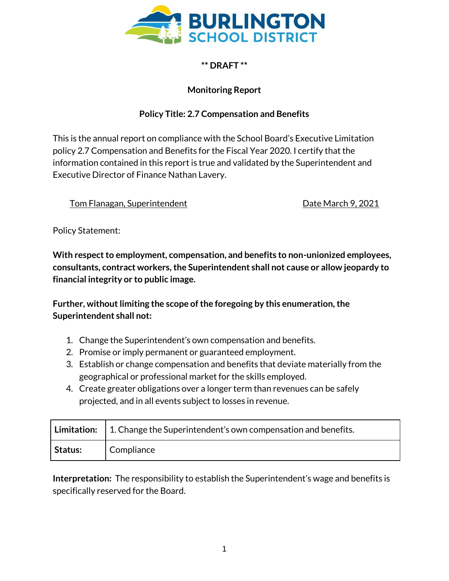

## **\*\* DRAFT \*\***

## **Monitoring Report**

## **Policy Title: 2.7 Compensation and Benefits**

This is the annual report on compliance with the School Board's Executive Limitation policy 2.7 Compensation and Benefits for the Fiscal Year 2020. I certify that the information contained in this report is true and validated by the Superintendent and Executive Director of Finance Nathan Lavery.

Tom Flanagan, Superintendent Date March 9, 2021

Policy Statement:

**With respect to employment, compensation, and benefits to non-unionized employees, consultants, contract workers, the Superintendent shall not cause or allow jeopardy to financial integrity or to public image.** 

**Further, without limiting the scope of the foregoing by this enumeration, the Superintendent shall not:**

- 1. Change the Superintendent's own compensation and benefits.
- 2. Promise or imply permanent or guaranteed employment.
- 3. Establish or change compensation and benefits that deviate materially from the geographical or professional market for the skills employed.
- 4. Create greater obligations over a longer term than revenues can be safely projected, and in all events subject to losses in revenue.

|         | <b>Limitation:</b> $\vert$ 1. Change the Superintendent's own compensation and benefits. |
|---------|------------------------------------------------------------------------------------------|
| Status: | Compliance                                                                               |

**Interpretation:** The responsibility to establish the Superintendent's wage and benefits is specifically reserved for the Board.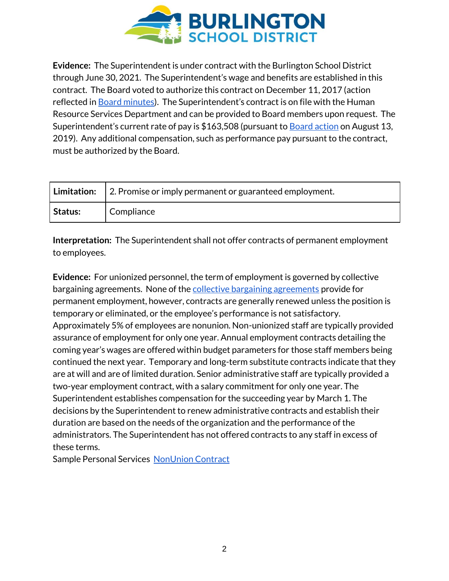

**Evidence:** The Superintendent is under contract with the Burlington School District through June 30, 2021. The Superintendent's wage and benefits are established in this contract. The Board voted to authorize this contract on December 11, 2017 (action reflected in [Board minutes](http://www.bsdvt.org/wp-content/uploads/2018/02/December-11-2017-Full-School-Board-Meeting-Minutes-1.pdf)). The Superintendent's contract is on file with the Human Resource Services Department and can be provided to Board members upon request. The Superintendent's current rate of pay is \$163,508 (pursuant to [Board action](https://go.boarddocs.com/vt/bsdvt/Board.nsf/files/BFRLM74D7416/$file/8_13_19%20School%20Board%20Meeting.pdf) on August 13, 2019). Any additional compensation, such as performance pay pursuant to the contract, must be authorized by the Board.

|                | <b>Limitation:</b> $\vert$ 2. Promise or imply permanent or guaranteed employment. |
|----------------|------------------------------------------------------------------------------------|
| <b>Status:</b> | Compliance                                                                         |

**Interpretation:** The Superintendent shall not offer contracts of permanent employment to employees.

**Evidence:** For unionized personnel, the term of employment is governed by collective bargaining agreements. None of the [collective bargaining agreements](http://www.bsdvt.org/master-agreements/) provide for permanent employment, however, contracts are generally renewed unless the position is temporary or eliminated, or the employee's performance is not satisfactory. Approximately 5% of employees are nonunion. Non-unionized staff are typically provided assurance of employment for only one year. Annual employment contracts detailing the coming year's wages are offered within budget parameters for those staff members being continued the next year. Temporary and long-term substitute contracts indicate that they are at will and are of limited duration. Senior administrative staff are typically provided a two-year employment contract, with a salary commitment for only one year. The Superintendent establishes compensation for the succeeding year by March 1. The decisions by the Superintendent to renew administrative contracts and establish their duration are based on the needs of the organization and the performance of the administrators. The Superintendent has not offered contracts to any staff in excess of these terms.

Sample Personal Services [NonUnion Contract](https://drive.google.com/open?id=1He7vUDpb8T2BiwU47YtqStm5wmzfHcFd)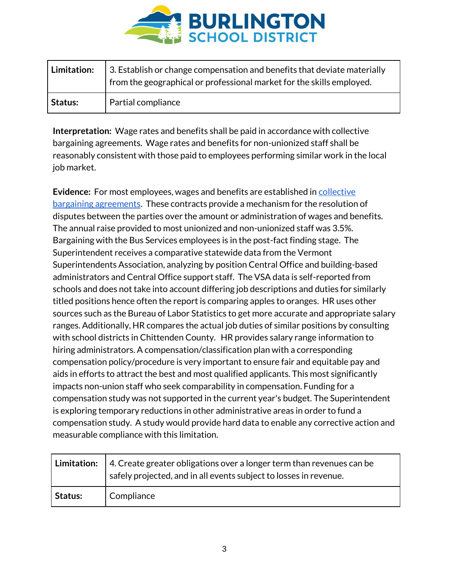

| Limitation: | 3. Establish or change compensation and benefits that deviate materially<br>from the geographical or professional market for the skills employed. |
|-------------|---------------------------------------------------------------------------------------------------------------------------------------------------|
| Status:     | Partial compliance                                                                                                                                |

**Interpretation:** Wage rates and benefits shall be paid in accordance with collective bargaining agreements. Wage rates and benefits for non-unionized staff shall be reasonably consistent with those paid to employees performing similar work in the local job market.

**Evidence:** For most employees, wages and benefits are established i[n collective](http://www.bsdvt.org/master-agreements/)  [bargaining agreements.](http://www.bsdvt.org/master-agreements/) These contracts provide a mechanism for the resolution of disputes between the parties over the amount or administration of wages and benefits. The annual raise provided to most unionized and non-unionized staff was 3.5%. Bargaining with the Bus Services employees is in the post-fact finding stage. The Superintendent receives a comparative statewide data from the Vermont Superintendents Association, analyzing by position Central Office and building-based administrators and Central Office support staff. The VSA data is self-reported from schools and does not take into account differing job descriptions and duties for similarly titled positions hence often the report is comparing apples to oranges. HR uses other sources such as the Bureau of Labor Statistics to get more accurate and appropriate salary ranges. Additionally, HR compares the actual job duties of similar positions by consulting with school districts in Chittenden County. HR provides salary range information to hiring administrators. A compensation/classification plan with a corresponding compensation policy/procedure is very important to ensure fair and equitable pay and aids in efforts to attract the best and most qualified applicants. This most significantly impacts non-union staff who seek comparability in compensation. Funding for a compensation study was not supported in the current year's budget. The Superintendent is exploring temporary reductions in other administrative areas in order to fund a compensation study. A study would provide hard data to enable any corrective action and measurable compliance with this limitation.

|                | <b>Limitation:</b> $\vert$ 4. Create greater obligations over a longer term than revenues can be<br>safely projected, and in all events subject to losses in revenue. |
|----------------|-----------------------------------------------------------------------------------------------------------------------------------------------------------------------|
| <b>Status:</b> | Compliance                                                                                                                                                            |